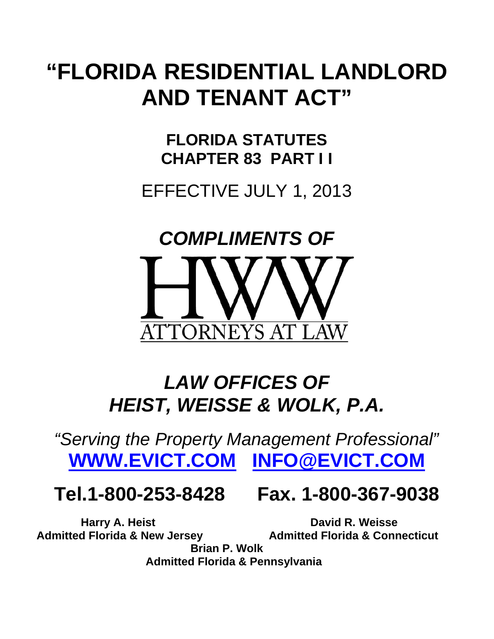# **"FLORIDA RESIDENTIAL LANDLORD AND TENANT ACT"**

## **FLORIDA STATUTES CHAPTER 83 PART I I**

EFFECTIVE JULY 1, 2013

# *COMPLIMENTS OF*  **TTORNEYS AT LAW**

# *LAW OFFICES OF HEIST, WEISSE & WOLK, P.A.*

*"Serving the Property Management Professional"*  **[WWW.EVICT.COM](http://www.evict.com/) [INFO@EVICT.COM](mailto:INFO@EVICT.COM)**

## **Tel.1-800-253-8428 Fax. 1-800-367-9038**

 **Harry A. Heist Communist Communist Property A. Weisse Admitted Florida & New Jersey Admitted Florida & Connecticut Brian P. Wolk Admitted Florida & Pennsylvania**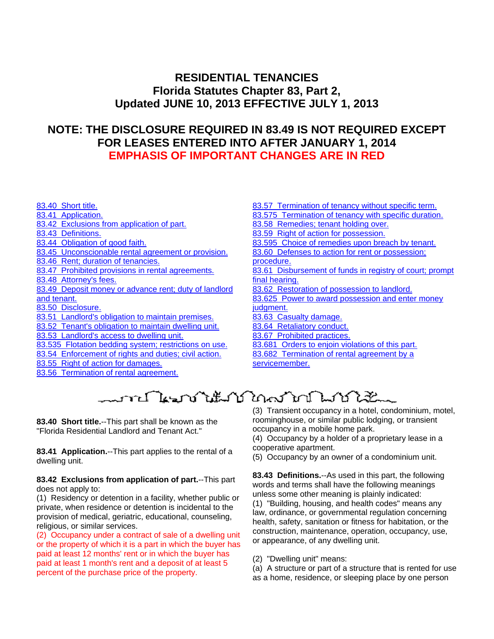### **RESIDENTIAL TENANCIES Florida Statutes Chapter 83, Part 2, Updated JUNE 10, 2013 EFFECTIVE JULY 1, 2013**

## **NOTE: THE DISCLOSURE REQUIRED IN 83.49 IS NOT REQUIRED EXCEPT FOR LEASES ENTERED INTO AFTER JANUARY 1, 2014 EMPHASIS OF IMPORTANT CHANGES ARE IN RED**

- [83.42 Exclusions from application of part.](#page-1-2) [83.58 Remedies; tenant holding over.](#page-8-1)
- 
- 
- [83.45 Unconscionable rental agreement or provision.](#page-2-1) [83.60 Defenses to action for rent or possession;](#page-9-0)
- [83.46 Rent; duration of tenancies.](#page-2-2) example the [procedure.](#page-9-0)
- 

[83.48 Attorney's fees.](#page-3-0) The same of the state of the [final hearing.](#page-9-1)

[83.49 Deposit money or advance rent; duty of landlord](#page-3-1)  [and tenant.](#page-3-1)

[83.50 Disclosure.](#page-5-0) [judgment.](#page-10-0)

- [83.51 Landlord's obligation to maintain premises.](#page-5-1) [83.63 Casualty damage.](#page-10-1)
- 83.52 Tenant's obligation to maintain dwelling unit.<br>83.53 Landlord's access to dwelling unit. 83.67 Prohibited practices.
- [83.53 Landlord's access to dwelling unit.](#page-6-1)
- [83.535 Flotation bedding system; restrictions on use.](#page-6-2) [83.681 Orders to enjoin violations of this part.](#page-11-0)
- [83.54 Enforcement of rights and duties; civil action.](#page-6-3) 83.682 Termination of rental agreement by a
- [83.55 Right of action for damages.](#page-6-3) Servicemember.
- [83.56 Termination of rental agreement.](#page-6-4)
- [83.40 Short title.](#page-1-0) [83.57 Termination of tenancy without specific term.](#page-7-0)
- [83.41 Application.](#page-1-1) [83.575 Termination of tenancy with specific duration.](#page-8-0)
	-
- [83.43 Definitions.](#page-1-3) [83.59 Right of action for possession.](#page-8-2)
- [83.44 Obligation of good faith.](#page-2-0) [83.595 Choice of remedies upon breach by tenant.](#page-8-3)
	-
- [83.47 Prohibited provisions in rental agreements.](#page-2-3) 83.61 Disbursement of funds in registry of court; prompt
	- [83.62 Restoration of possession to landlord.](#page-9-2)
	- [83.625 Power to award possession and enter money](#page-10-0)
	-
	-
	-
	-

## <u>mont les notifies de la mont de la comme de la comme de la comme de la comme de la comme de la comme de la com</u>

<span id="page-1-0"></span>**83.40 Short title.**--This part shall be known as the "Florida Residential Landlord and Tenant Act."

<span id="page-1-1"></span>**83.41 Application.**--This part applies to the rental of a cooperative apartment. divelling unit.<br>dwelling unit.

#### <span id="page-1-3"></span><span id="page-1-2"></span>**83.42 Exclusions from application of part.**--This part does not apply to:

(1) Residency or detention in a facility, whether public or private, when residence or detention is incidental to the provision of medical, geriatric, educational, counseling, religious, or similar services.

(2) Occupancy under a contract of sale of a dwelling unit. Construction, maintenance, operation<br>or the preparaty of which it is a part in which the buyer bear of appearance, of any dwelling unit. or the property of which it is a part in which the buyer has paid at least 12 months' rent or in which the buyer has paid at least 1 month's rent and a deposit of at least 5 percent of the purchase price of the property.

(3) Transient occupancy in a hotel, condominium, motel, roominghouse, or similar public lodging, or transient occupancy in a mobile home park.

(4) Occupancy by a holder of a proprietary lease in a

**83.43 Definitions.**--As used in this part, the following words and terms shall have the following meanings unless some other meaning is plainly indicated: (1) "Building, housing, and health codes" means any

law, ordinance, or governmental regulation concerning health, safety, sanitation or fitness for habitation, or the construction, maintenance, operation, occupancy, use,

(2) "Dwelling unit" means:

(a) A structure or part of a structure that is rented for use as a home, residence, or sleeping place by one person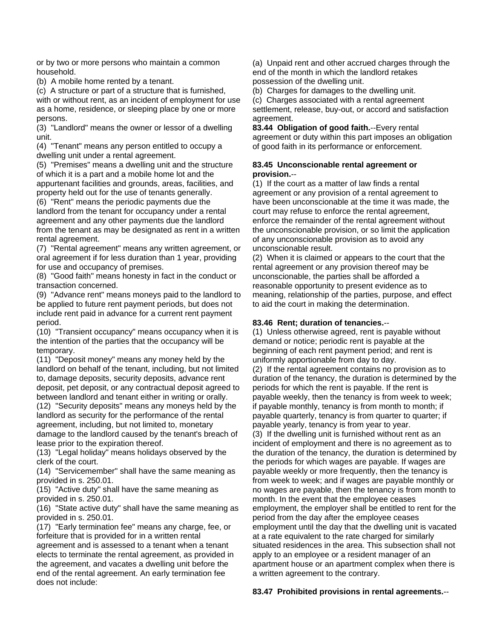or by two or more persons who maintain a common household.

(b) A mobile home rented by a tenant.

(c) A structure or part of a structure that is furnished, with or without rent, as an incident of employment for use

as a home, residence, or sleeping place by one or more persons.

<span id="page-2-0"></span>(3) "Landlord" means the owner or lessor of a dwelling unit.

(4) "Tenant" means any person entitled to occupy a dwelling unit under a rental agreement.

<span id="page-2-1"></span>(5) "Premises" means a dwelling unit and the structure of which it is a part and a mobile home lot and the appurtenant facilities and grounds, areas, facilities, and property held out for the use of tenants generally.

(6) "Rent" means the periodic payments due the landlord from the tenant for occupancy under a rental agreement and any other payments due the landlord from the tenant as may be designated as rent in a written rental agreement.

(7) "Rental agreement" means any written agreement, or oral agreement if for less duration than 1 year, providing for use and occupancy of premises.

(8) "Good faith" means honesty in fact in the conduct or transaction concerned.

(9) "Advance rent" means moneys paid to the landlord to be applied to future rent payment periods, but does not include rent paid in advance for a current rent payment period.

<span id="page-2-2"></span>(10) "Transient occupancy" means occupancy when it is the intention of the parties that the occupancy will be temporary.

(11) "Deposit money" means any money held by the landlord on behalf of the tenant, including, but not limited to, damage deposits, security deposits, advance rent deposit, pet deposit, or any contractual deposit agreed to between landlord and tenant either in writing or orally.

(12) "Security deposits" means any moneys held by the landlord as security for the performance of the rental agreement, including, but not limited to, monetary damage to the landlord caused by the tenant's breach of lease prior to the expiration thereof.

(13) "Legal holiday" means holidays observed by the clerk of the court.

(14) "Servicemember" shall have the same meaning as provided in s. 250.01.

(15) "Active duty" shall have the same meaning as provided in s. 250.01.

(16) "State active duty" shall have the same meaning as provided in s. 250.01.

(17) "Early termination fee" means any charge, fee, or forfeiture that is provided for in a written rental

<span id="page-2-3"></span>agreement and is assessed to a tenant when a tenant elects to terminate the rental agreement, as provided in the agreement, and vacates a dwelling unit before the end of the rental agreement. An early termination fee does not include:

(a) Unpaid rent and other accrued charges through the end of the month in which the landlord retakes possession of the dwelling unit.

(b) Charges for damages to the dwelling unit.

(c) Charges associated with a rental agreement settlement, release, buy-out, or accord and satisfaction agreement.

**83.44 Obligation of good faith.**--Every rental agreement or duty within this part imposes an obligation of good faith in its performance or enforcement.

#### **83.45 Unconscionable rental agreement or provision.**--

(1) If the court as a matter of law finds a rental agreement or any provision of a rental agreement to have been unconscionable at the time it was made, the court may refuse to enforce the rental agreement, enforce the remainder of the rental agreement without the unconscionable provision, or so limit the application of any unconscionable provision as to avoid any unconscionable result.

(2) When it is claimed or appears to the court that the rental agreement or any provision thereof may be unconscionable, the parties shall be afforded a reasonable opportunity to present evidence as to meaning, relationship of the parties, purpose, and effect to aid the court in making the determination.

#### **83.46 Rent; duration of tenancies.**--

(1) Unless otherwise agreed, rent is payable without demand or notice; periodic rent is payable at the beginning of each rent payment period; and rent is uniformly apportionable from day to day.

(2) If the rental agreement contains no provision as to duration of the tenancy, the duration is determined by the periods for which the rent is payable. If the rent is payable weekly, then the tenancy is from week to week; if payable monthly, tenancy is from month to month; if payable quarterly, tenancy is from quarter to quarter; if payable yearly, tenancy is from year to year. (3) If the dwelling unit is furnished without rent as an incident of employment and there is no agreement as to the duration of the tenancy, the duration is determined by the periods for which wages are payable. If wages are payable weekly or more frequently, then the tenancy is from week to week; and if wages are payable monthly or no wages are payable, then the tenancy is from month to month. In the event that the employee ceases employment, the employer shall be entitled to rent for the period from the day after the employee ceases employment until the day that the dwelling unit is vacated at a rate equivalent to the rate charged for similarly situated residences in the area. This subsection shall not apply to an employee or a resident manager of an apartment house or an apartment complex when there is a written agreement to the contrary.

#### **83.47 Prohibited provisions in rental agreements.**--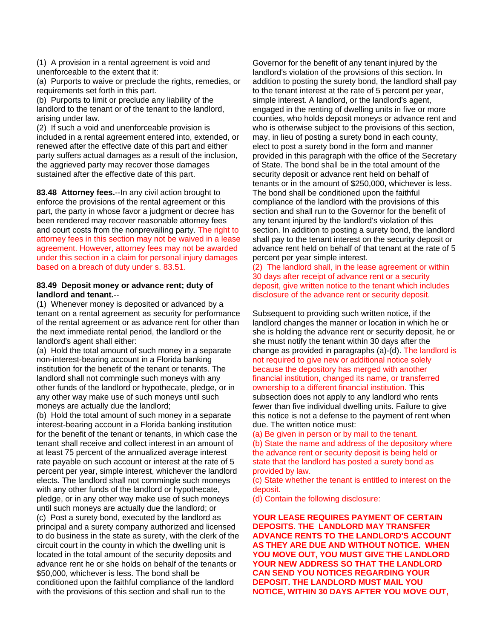(1) A provision in a rental agreement is void and unenforceable to the extent that it:

(a) Purports to waive or preclude the rights, remedies, or requirements set forth in this part.

(b) Purports to limit or preclude any liability of the landlord to the tenant or of the tenant to the landlord, arising under law.

(2) If such a void and unenforceable provision is included in a rental agreement entered into, extended, or renewed after the effective date of this part and either party suffers actual damages as a result of the inclusion, the aggrieved party may recover those damages sustained after the effective date of this part.

<span id="page-3-0"></span>**83.48 Attorney fees.**--In any civil action brought to enforce the provisions of the rental agreement or this part, the party in whose favor a judgment or decree has been rendered may recover reasonable attorney fees and court costs from the nonprevailing party. The right to attorney fees in this section may not be waived in a lease agreement. However, attorney fees may not be awarded under this section in a claim for personal injury damages based on a breach of duty under s. 83.51.

#### <span id="page-3-1"></span>**83.49 Deposit money or advance rent; duty of landlord and tenant.**--

(1) Whenever money is deposited or advanced by a tenant on a rental agreement as security for performance of the rental agreement or as advance rent for other than the next immediate rental period, the landlord or the landlord's agent shall either:

(a) Hold the total amount of such money in a separate non-interest-bearing account in a Florida banking institution for the benefit of the tenant or tenants. The landlord shall not commingle such moneys with any other funds of the landlord or hypothecate, pledge, or in any other way make use of such moneys until such moneys are actually due the landlord;

(b) Hold the total amount of such money in a separate interest-bearing account in a Florida banking institution for the benefit of the tenant or tenants, in which case the tenant shall receive and collect interest in an amount of at least 75 percent of the annualized average interest rate payable on such account or interest at the rate of 5 percent per year, simple interest, whichever the landlord elects. The landlord shall not commingle such moneys with any other funds of the landlord or hypothecate, pledge, or in any other way make use of such moneys until such moneys are actually due the landlord; or (c) Post a surety bond, executed by the landlord as principal and a surety company authorized and licensed to do business in the state as surety, with the clerk of the circuit court in the county in which the dwelling unit is located in the total amount of the security deposits and advance rent he or she holds on behalf of the tenants or \$50,000, whichever is less. The bond shall be conditioned upon the faithful compliance of the landlord with the provisions of this section and shall run to the

Governor for the benefit of any tenant injured by the landlord's violation of the provisions of this section. In addition to posting the surety bond, the landlord shall pay to the tenant interest at the rate of 5 percent per year, simple interest. A landlord, or the landlord's agent, engaged in the renting of dwelling units in five or more counties, who holds deposit moneys or advance rent and who is otherwise subject to the provisions of this section, may, in lieu of posting a surety bond in each county, elect to post a surety bond in the form and manner provided in this paragraph with the office of the Secretary of State. The bond shall be in the total amount of the security deposit or advance rent held on behalf of tenants or in the amount of \$250,000, whichever is less. The bond shall be conditioned upon the faithful compliance of the landlord with the provisions of this section and shall run to the Governor for the benefit of any tenant injured by the landlord's violation of this section. In addition to posting a surety bond, the landlord shall pay to the tenant interest on the security deposit or advance rent held on behalf of that tenant at the rate of 5 percent per year simple interest.

(2) The landlord shall, in the lease agreement or within 30 days after receipt of advance rent or a security deposit, give written notice to the tenant which includes disclosure of the advance rent or security deposit.

Subsequent to providing such written notice, if the landlord changes the manner or location in which he or she is holding the advance rent or security deposit, he or she must notify the tenant within 30 days after the change as provided in paragraphs (a)-(d). The landlord is not required to give new or additional notice solely because the depository has merged with another financial institution, changed its name, or transferred ownership to a different financial institution. This subsection does not apply to any landlord who rents fewer than five individual dwelling units. Failure to give this notice is not a defense to the payment of rent when

due. The written notice must: (a) Be given in person or by mail to the tenant.

(b) State the name and address of the depository where the advance rent or security deposit is being held or state that the landlord has posted a surety bond as provided by law.

(c) State whether the tenant is entitled to interest on the deposit.

(d) Contain the following disclosure:

**YOUR LEASE REQUIRES PAYMENT OF CERTAIN DEPOSITS. THE LANDLORD MAY TRANSFER ADVANCE RENTS TO THE LANDLORD'S ACCOUNT AS THEY ARE DUE AND WITHOUT NOTICE. WHEN YOU MOVE OUT, YOU MUST GIVE THE LANDLORD YOUR NEW ADDRESS SO THAT THE LANDLORD CAN SEND YOU NOTICES REGARDING YOUR DEPOSIT. THE LANDLORD MUST MAIL YOU NOTICE, WITHIN 30 DAYS AFTER YOU MOVE OUT,**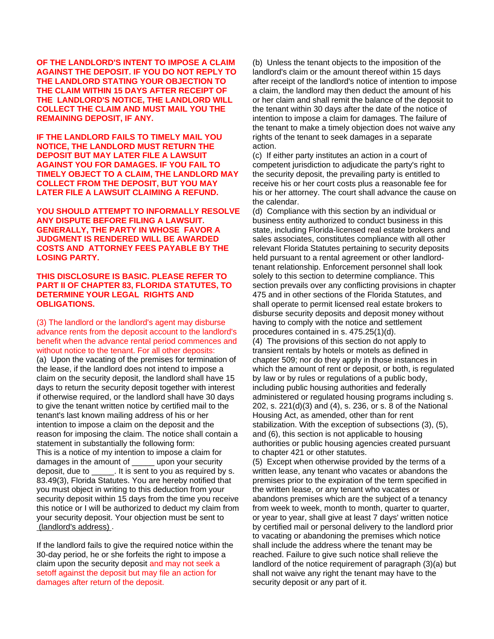**OF THE LANDLORD'S INTENT TO IMPOSE A CLAIM AGAINST THE DEPOSIT. IF YOU DO NOT REPLY TO THE LANDLORD STATING YOUR OBJECTION TO THE CLAIM WITHIN 15 DAYS AFTER RECEIPT OF THE LANDLORD'S NOTICE, THE LANDLORD WILL COLLECT THE CLAIM AND MUST MAIL YOU THE REMAINING DEPOSIT, IF ANY.** 

**IF THE LANDLORD FAILS TO TIMELY MAIL YOU NOTICE, THE LANDLORD MUST RETURN THE DEPOSIT BUT MAY LATER FILE A LAWSUIT AGAINST YOU FOR DAMAGES. IF YOU FAIL TO TIMELY OBJECT TO A CLAIM, THE LANDLORD MAY COLLECT FROM THE DEPOSIT, BUT YOU MAY LATER FILE A LAWSUIT CLAIMING A REFUND.** 

**YOU SHOULD ATTEMPT TO INFORMALLY RESOLVE ANY DISPUTE BEFORE FILING A LAWSUIT. GENERALLY, THE PARTY IN WHOSE FAVOR A JUDGMENT IS RENDERED WILL BE AWARDED COSTS AND ATTORNEY FEES PAYABLE BY THE LOSING PARTY.** 

#### **THIS DISCLOSURE IS BASIC. PLEASE REFER TO PART II OF CHAPTER 83, FLORIDA STATUTES, TO DETERMINE YOUR LEGAL RIGHTS AND OBLIGATIONS.**

#### (3) The landlord or the landlord's agent may disburse advance rents from the deposit account to the landlord's benefit when the advance rental period commences and without notice to the tenant. For all other deposits:

(a) Upon the vacating of the premises for termination of the lease, if the landlord does not intend to impose a claim on the security deposit, the landlord shall have 15 days to return the security deposit together with interest if otherwise required, or the landlord shall have 30 days to give the tenant written notice by certified mail to the tenant's last known mailing address of his or her intention to impose a claim on the deposit and the reason for imposing the claim. The notice shall contain a statement in substantially the following form: This is a notice of my intention to impose a claim for damages in the amount of example upon your security deposit, due to  $\qquad \qquad$  . It is sent to you as required by s. 83.49(3), Florida Statutes. You are hereby notified that you must object in writing to this deduction from your security deposit within 15 days from the time you receive this notice or I will be authorized to deduct my claim from your security deposit. Your objection must be sent to (landlord's address) .

If the landlord fails to give the required notice within the 30-day period, he or she forfeits the right to impose a claim upon the security deposit and may not seek a setoff against the deposit but may file an action for damages after return of the deposit.

(b) Unless the tenant objects to the imposition of the landlord's claim or the amount thereof within 15 days after receipt of the landlord's notice of intention to impose a claim, the landlord may then deduct the amount of his or her claim and shall remit the balance of the deposit to the tenant within 30 days after the date of the notice of intention to impose a claim for damages. The failure of the tenant to make a timely objection does not waive any rights of the tenant to seek damages in a separate action.

(c) If either party institutes an action in a court of competent jurisdiction to adjudicate the party's right to the security deposit, the prevailing party is entitled to receive his or her court costs plus a reasonable fee for his or her attorney. The court shall advance the cause on the calendar.

(d) Compliance with this section by an individual or business entity authorized to conduct business in this state, including Florida-licensed real estate brokers and sales associates, constitutes compliance with all other relevant Florida Statutes pertaining to security deposits held pursuant to a rental agreement or other landlordtenant relationship. Enforcement personnel shall look solely to this section to determine compliance. This section prevails over any conflicting provisions in chapter 475 and in other sections of the Florida Statutes, and shall operate to permit licensed real estate brokers to disburse security deposits and deposit money without having to comply with the notice and settlement procedures contained in s. 475.25(1)(d).

(4) The provisions of this section do not apply to transient rentals by hotels or motels as defined in chapter 509; nor do they apply in those instances in which the amount of rent or deposit, or both, is regulated by law or by rules or regulations of a public body, including public housing authorities and federally administered or regulated housing programs including s. 202, s. 221(d)(3) and (4), s. 236, or s. 8 of the National Housing Act, as amended, other than for rent stabilization. With the exception of subsections (3), (5), and (6), this section is not applicable to housing authorities or public housing agencies created pursuant to chapter 421 or other statutes.

(5) Except when otherwise provided by the terms of a written lease, any tenant who vacates or abandons the premises prior to the expiration of the term specified in the written lease, or any tenant who vacates or abandons premises which are the subject of a tenancy from week to week, month to month, quarter to quarter, or year to year, shall give at least 7 days' written notice by certified mail or personal delivery to the landlord prior to vacating or abandoning the premises which notice shall include the address where the tenant may be reached. Failure to give such notice shall relieve the landlord of the notice requirement of paragraph (3)(a) but shall not waive any right the tenant may have to the security deposit or any part of it.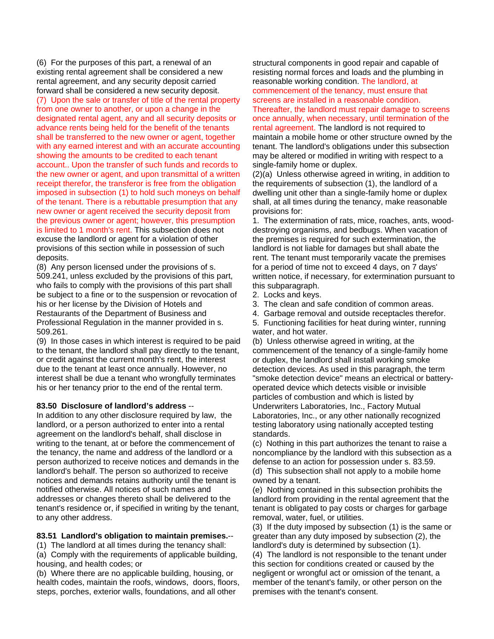(6) For the purposes of this part, a renewal of an existing rental agreement shall be considered a new rental agreement, and any security deposit carried forward shall be considered a new security deposit. (7) Upon the sale or transfer of title of the rental property from one owner to another, or upon a change in the designated rental agent, any and all security deposits or advance rents being held for the benefit of the tenants shall be transferred to the new owner or agent, together with any earned interest and with an accurate accounting showing the amounts to be credited to each tenant account.. Upon the transfer of such funds and records to the new owner or agent, and upon transmittal of a written receipt therefor, the transferor is free from the obligation imposed in subsection (1) to hold such moneys on behalf of the tenant. There is a rebuttable presumption that any new owner or agent received the security deposit from the previous owner or agent; however, this presumption is limited to 1 month's rent. This subsection does not excuse the landlord or agent for a violation of other provisions of this section while in possession of such deposits.

(8) Any person licensed under the provisions of s. 509.241, unless excluded by the provisions of this part, who fails to comply with the provisions of this part shall be subject to a fine or to the suspension or revocation of his or her license by the Division of Hotels and Restaurants of the Department of Business and Professional Regulation in the manner provided in s. 509.261.

(9) In those cases in which interest is required to be paid to the tenant, the landlord shall pay directly to the tenant, or credit against the current month's rent, the interest due to the tenant at least once annually. However, no interest shall be due a tenant who wrongfully terminates his or her tenancy prior to the end of the rental term.

#### <span id="page-5-0"></span>**83.50 Disclosure of landlord's address** --

In addition to any other disclosure required by law, the landlord, or a person authorized to enter into a rental agreement on the landlord's behalf, shall disclose in writing to the tenant, at or before the commencement of the tenancy, the name and address of the landlord or a person authorized to receive notices and demands in the landlord's behalf. The person so authorized to receive notices and demands retains authority until the tenant is notified otherwise. All notices of such names and addresses or changes thereto shall be delivered to the tenant's residence or, if specified in writing by the tenant, to any other address.

#### <span id="page-5-1"></span>**83.51 Landlord's obligation to maintain premises.**--

(1) The landlord at all times during the tenancy shall:

(a) Comply with the requirements of applicable building, housing, and health codes; or

(b) Where there are no applicable building, housing, or health codes, maintain the roofs, windows, doors, floors, steps, porches, exterior walls, foundations, and all other

structural components in good repair and capable of resisting normal forces and loads and the plumbing in reasonable working condition. The landlord, at commencement of the tenancy, must ensure that screens are installed in a reasonable condition. Thereafter, the landlord must repair damage to screens

once annually, when necessary, until termination of the rental agreement. The landlord is not required to maintain a mobile home or other structure owned by the tenant. The landlord's obligations under this subsection may be altered or modified in writing with respect to a single-family home or duplex.

(2)(a) Unless otherwise agreed in writing, in addition to the requirements of subsection (1), the landlord of a dwelling unit other than a single-family home or duplex shall, at all times during the tenancy, make reasonable provisions for:

1. The extermination of rats, mice, roaches, ants, wooddestroying organisms, and bedbugs. When vacation of the premises is required for such extermination, the landlord is not liable for damages but shall abate the rent. The tenant must temporarily vacate the premises for a period of time not to exceed 4 days, on 7 days' written notice, if necessary, for extermination pursuant to this subparagraph.

- 2. Locks and keys.
- 3. The clean and safe condition of common areas.
- 4. Garbage removal and outside receptacles therefor.

5. Functioning facilities for heat during winter, running water, and hot water.

(b) Unless otherwise agreed in writing, at the commencement of the tenancy of a single-family home or duplex, the landlord shall install working smoke detection devices. As used in this paragraph, the term "smoke detection device" means an electrical or batteryoperated device which detects visible or invisible particles of combustion and which is listed by Underwriters Laboratories, Inc., Factory Mutual Laboratories, Inc., or any other nationally recognized testing laboratory using nationally accepted testing standards.

(c) Nothing in this part authorizes the tenant to raise a noncompliance by the landlord with this subsection as a defense to an action for possession under s. 83.59.

(d) This subsection shall not apply to a mobile home owned by a tenant.

(e) Nothing contained in this subsection prohibits the landlord from providing in the rental agreement that the tenant is obligated to pay costs or charges for garbage removal, water, fuel, or utilities.

(3) If the duty imposed by subsection (1) is the same or greater than any duty imposed by subsection (2), the landlord's duty is determined by subsection (1).

(4) The landlord is not responsible to the tenant under this section for conditions created or caused by the negligent or wrongful act or omission of the tenant, a member of the tenant's family, or other person on the premises with the tenant's consent.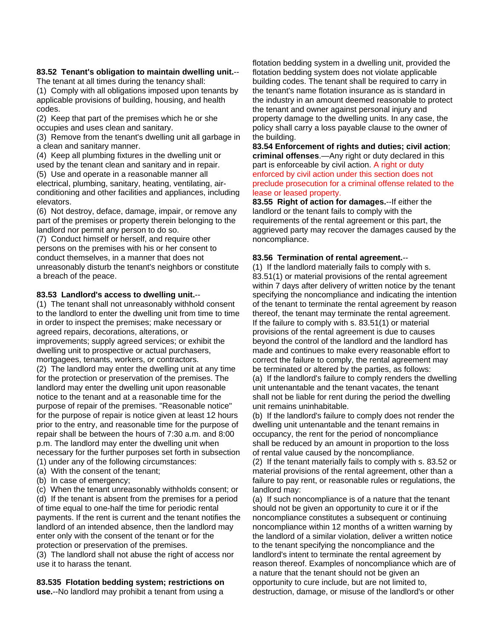<span id="page-6-0"></span>**83.52 Tenant's obligation to maintain dwelling unit.**-- The tenant at all times during the tenancy shall:

(1) Comply with all obligations imposed upon tenants by applicable provisions of building, housing, and health codes.

(2) Keep that part of the premises which he or she occupies and uses clean and sanitary.

<span id="page-6-3"></span>(3) Remove from the tenant's dwelling unit all garbage in a clean and sanitary manner.

(4) Keep all plumbing fixtures in the dwelling unit or used by the tenant clean and sanitary and in repair.

(5) Use and operate in a reasonable manner all electrical, plumbing, sanitary, heating, ventilating, airconditioning and other facilities and appliances, including elevators.

(6) Not destroy, deface, damage, impair, or remove any part of the premises or property therein belonging to the landlord nor permit any person to do so.

<span id="page-6-4"></span>(7) Conduct himself or herself, and require other persons on the premises with his or her consent to conduct themselves, in a manner that does not unreasonably disturb the tenant's neighbors or constitute a breach of the peace.

#### <span id="page-6-1"></span>**83.53 Landlord's access to dwelling unit.**--

(1) The tenant shall not unreasonably withhold consent to the landlord to enter the dwelling unit from time to time in order to inspect the premises; make necessary or agreed repairs, decorations, alterations, or improvements; supply agreed services; or exhibit the dwelling unit to prospective or actual purchasers, mortgagees, tenants, workers, or contractors. (2) The landlord may enter the dwelling unit at any time for the protection or preservation of the premises. The landlord may enter the dwelling unit upon reasonable notice to the tenant and at a reasonable time for the purpose of repair of the premises. "Reasonable notice"

for the purpose of repair is notice given at least 12 hours prior to the entry, and reasonable time for the purpose of repair shall be between the hours of 7:30 a.m. and 8:00 p.m. The landlord may enter the dwelling unit when necessary for the further purposes set forth in subsection (1) under any of the following circumstances:

- (a) With the consent of the tenant;
- (b) In case of emergency;

(c) When the tenant unreasonably withholds consent; or

(d) If the tenant is absent from the premises for a period of time equal to one-half the time for periodic rental payments. If the rent is current and the tenant notifies the landlord of an intended absence, then the landlord may enter only with the consent of the tenant or for the protection or preservation of the premises.

(3) The landlord shall not abuse the right of access nor use it to harass the tenant.

<span id="page-6-2"></span>**83.535 Flotation bedding system; restrictions on use.**--No landlord may prohibit a tenant from using a

flotation bedding system in a dwelling unit, provided the flotation bedding system does not violate applicable building codes. The tenant shall be required to carry in the tenant's name flotation insurance as is standard in the industry in an amount deemed reasonable to protect the tenant and owner against personal injury and property damage to the dwelling units. In any case, the policy shall carry a loss payable clause to the owner of the building.

**83.54 Enforcement of rights and duties; civil action**; **criminal offenses**.—Any right or duty declared in this part is enforceable by civil action. A right or duty enforced by civil action under this section does not preclude prosecution for a criminal offense related to the lease or leased property.

**83.55 Right of action for damages.**--If either the landlord or the tenant fails to comply with the requirements of the rental agreement or this part, the aggrieved party may recover the damages caused by the noncompliance.

#### **83.56 Termination of rental agreement.**--

(1) If the landlord materially fails to comply with s. 83.51(1) or material provisions of the rental agreement within 7 days after delivery of written notice by the tenant specifying the noncompliance and indicating the intention of the tenant to terminate the rental agreement by reason thereof, the tenant may terminate the rental agreement. If the failure to comply with s. 83.51(1) or material provisions of the rental agreement is due to causes beyond the control of the landlord and the landlord has made and continues to make every reasonable effort to correct the failure to comply, the rental agreement may be terminated or altered by the parties, as follows: (a) If the landlord's failure to comply renders the dwelling unit untenantable and the tenant vacates, the tenant shall not be liable for rent during the period the dwelling unit remains uninhabitable.

(b) If the landlord's failure to comply does not render the dwelling unit untenantable and the tenant remains in occupancy, the rent for the period of noncompliance shall be reduced by an amount in proportion to the loss of rental value caused by the noncompliance.

(2) If the tenant materially fails to comply with s. 83.52 or material provisions of the rental agreement, other than a failure to pay rent, or reasonable rules or regulations, the landlord may:

(a) If such noncompliance is of a nature that the tenant should not be given an opportunity to cure it or if the noncompliance constitutes a subsequent or continuing noncompliance within 12 months of a written warning by the landlord of a similar violation, deliver a written notice to the tenant specifying the noncompliance and the landlord's intent to terminate the rental agreement by reason thereof. Examples of noncompliance which are of a nature that the tenant should not be given an opportunity to cure include, but are not limited to, destruction, damage, or misuse of the landlord's or other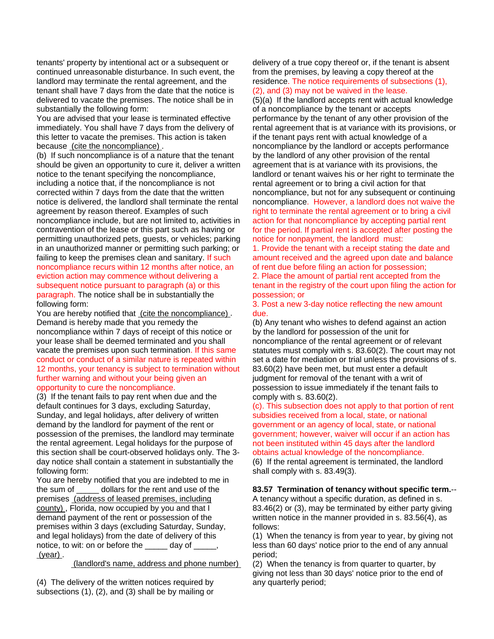tenants' property by intentional act or a subsequent or continued unreasonable disturbance. In such event, the landlord may terminate the rental agreement, and the tenant shall have 7 days from the date that the notice is delivered to vacate the premises. The notice shall be in substantially the following form:

You are advised that your lease is terminated effective immediately. You shall have 7 days from the delivery of this letter to vacate the premises. This action is taken because (cite the noncompliance) .

(b) If such noncompliance is of a nature that the tenant should be given an opportunity to cure it, deliver a written notice to the tenant specifying the noncompliance, including a notice that, if the noncompliance is not corrected within 7 days from the date that the written notice is delivered, the landlord shall terminate the rental agreement by reason thereof. Examples of such noncompliance include, but are not limited to, activities in contravention of the lease or this part such as having or permitting unauthorized pets, guests, or vehicles; parking in an unauthorized manner or permitting such parking; or failing to keep the premises clean and sanitary. If such noncompliance recurs within 12 months after notice, an eviction action may commence without delivering a subsequent notice pursuant to paragraph (a) or this paragraph. The notice shall be in substantially the following form:

You are hereby notified that (cite the noncompliance) . Demand is hereby made that you remedy the noncompliance within 7 days of receipt of this notice or your lease shall be deemed terminated and you shall vacate the premises upon such termination. If this same conduct or conduct of a similar nature is repeated within 12 months, your tenancy is subject to termination without further warning and without your being given an opportunity to cure the noncompliance.

(3) If the tenant fails to pay rent when due and the default continues for 3 days, excluding Saturday, Sunday, and legal holidays, after delivery of written demand by the landlord for payment of the rent or possession of the premises, the landlord may terminate the rental agreement. Legal holidays for the purpose of this section shall be court-observed holidays only. The 3 day notice shall contain a statement in substantially the following form:

<span id="page-7-0"></span>You are hereby notified that you are indebted to me in the sum of \_\_\_\_\_ dollars for the rent and use of the premises (address of leased premises, including county) , Florida, now occupied by you and that I demand payment of the rent or possession of the premises within 3 days (excluding Saturday, Sunday, and legal holidays) from the date of delivery of this notice, to wit: on or before the \_\_\_\_\_ day of \_\_\_\_, (year) .

#### (landlord's name, address and phone number)

(4) The delivery of the written notices required by subsections (1), (2), and (3) shall be by mailing or delivery of a true copy thereof or, if the tenant is absent from the premises, by leaving a copy thereof at the residence. The notice requirements of subsections (1), (2), and (3) may not be waived in the lease.

(5)(a) If the landlord accepts rent with actual knowledge of a noncompliance by the tenant or accepts performance by the tenant of any other provision of the rental agreement that is at variance with its provisions, or if the tenant pays rent with actual knowledge of a noncompliance by the landlord or accepts performance by the landlord of any other provision of the rental agreement that is at variance with its provisions, the landlord or tenant waives his or her right to terminate the rental agreement or to bring a civil action for that noncompliance, but not for any subsequent or continuing noncompliance. However, a landlord does not waive the right to terminate the rental agreement or to bring a civil action for that noncompliance by accepting partial rent for the period. If partial rent is accepted after posting the notice for nonpayment, the landlord must:

1. Provide the tenant with a receipt stating the date and amount received and the agreed upon date and balance of rent due before filing an action for possession; 2. Place the amount of partial rent accepted from the tenant in the registry of the court upon filing the action for possession; or

3. Post a new 3-day notice reflecting the new amount due.

(b) Any tenant who wishes to defend against an action by the landlord for possession of the unit for noncompliance of the rental agreement or of relevant statutes must comply with s. 83.60(2). The court may not set a date for mediation or trial unless the provisions of s. 83.60(2) have been met, but must enter a default judgment for removal of the tenant with a writ of possession to issue immediately if the tenant fails to comply with s. 83.60(2).

(c). This subsection does not apply to that portion of rent subsidies received from a local, state, or national government or an agency of local, state, or national government; however, waiver will occur if an action has not been instituted within 45 days after the landlord obtains actual knowledge of the noncompliance.

(6) If the rental agreement is terminated, the landlord shall comply with s. 83.49(3).

**83.57 Termination of tenancy without specific term.**-- A tenancy without a specific duration, as defined in s. 83.46(2) or (3), may be terminated by either party giving written notice in the manner provided in s. 83.56(4), as follows:

(1) When the tenancy is from year to year, by giving not less than 60 days' notice prior to the end of any annual period;

(2) When the tenancy is from quarter to quarter, by giving not less than 30 days' notice prior to the end of any quarterly period;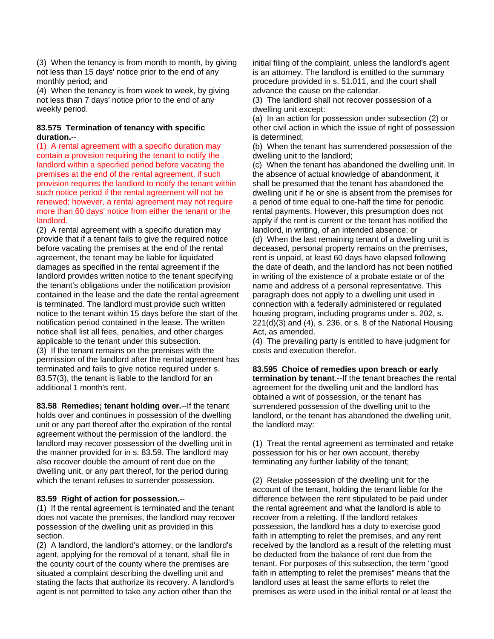(3) When the tenancy is from month to month, by giving not less than 15 days' notice prior to the end of any monthly period; and

(4) When the tenancy is from week to week, by giving not less than 7 days' notice prior to the end of any weekly period.

#### <span id="page-8-0"></span>**83.575 Termination of tenancy with specific duration.**--

(1) A rental agreement with a specific duration may contain a provision requiring the tenant to notify the landlord within a specified period before vacating the premises at the end of the rental agreement, if such provision requires the landlord to notify the tenant within such notice period if the rental agreement will not be renewed; however, a rental agreement may not require more than 60 days' notice from either the tenant or the landlord.

(2) A rental agreement with a specific duration may provide that if a tenant fails to give the required notice before vacating the premises at the end of the rental agreement, the tenant may be liable for liquidated damages as specified in the rental agreement if the landlord provides written notice to the tenant specifying the tenant's obligations under the notification provision contained in the lease and the date the rental agreement is terminated. The landlord must provide such written notice to the tenant within 15 days before the start of the notification period contained in the lease. The written notice shall list all fees, penalties, and other charges applicable to the tenant under this subsection.

<span id="page-8-3"></span>(3) If the tenant remains on the premises with the permission of the landlord after the rental agreement has terminated and fails to give notice required under s. 83.57(3), the tenant is liable to the landlord for an additional 1 month's rent.

<span id="page-8-1"></span>**83.58 Remedies; tenant holding over.**--If the tenant holds over and continues in possession of the dwelling unit or any part thereof after the expiration of the rental agreement without the permission of the landlord, the landlord may recover possession of the dwelling unit in the manner provided for in s. 83.59. The landlord may also recover double the amount of rent due on the dwelling unit, or any part thereof, for the period during which the tenant refuses to surrender possession.

#### <span id="page-8-2"></span>**83.59 Right of action for possession.**--

(1) If the rental agreement is terminated and the tenant does not vacate the premises, the landlord may recover possession of the dwelling unit as provided in this section.

(2) A landlord, the landlord's attorney, or the landlord's agent, applying for the removal of a tenant, shall file in the county court of the county where the premises are situated a complaint describing the dwelling unit and stating the facts that authorize its recovery. A landlord's agent is not permitted to take any action other than the

initial filing of the complaint, unless the landlord's agent is an attorney. The landlord is entitled to the summary procedure provided in s. 51.011, and the court shall advance the cause on the calendar.

(3) The landlord shall not recover possession of a dwelling unit except:

(a) In an action for possession under subsection (2) or other civil action in which the issue of right of possession is determined;

(b) When the tenant has surrendered possession of the dwelling unit to the landlord;

(c) When the tenant has abandoned the dwelling unit. In the absence of actual knowledge of abandonment, it shall be presumed that the tenant has abandoned the dwelling unit if he or she is absent from the premises for a period of time equal to one-half the time for periodic rental payments. However, this presumption does not apply if the rent is current or the tenant has notified the landlord, in writing, of an intended absence; or (d) When the last remaining tenant of a dwelling unit is deceased, personal property remains on the premises, rent is unpaid, at least 60 days have elapsed following the date of death, and the landlord has not been notified in writing of the existence of a probate estate or of the name and address of a personal representative. This paragraph does not apply to a dwelling unit used in connection with a federally administered or regulated housing program, including programs under s. 202, s.  $221(d)(3)$  and  $(4)$ , s. 236, or s. 8 of the National Housing Act, as amended.

(4) The prevailing party is entitled to have judgment for costs and execution therefor.

**83.595 Choice of remedies upon breach or early termination by tenant**.--If the tenant breaches the rental agreement for the dwelling unit and the landlord has obtained a writ of possession, or the tenant has surrendered possession of the dwelling unit to the landlord, or the tenant has abandoned the dwelling unit, the landlord may:

(1) Treat the rental agreement as terminated and retake possession for his or her own account, thereby terminating any further liability of the tenant;

(2) Retake possession of the dwelling unit for the account of the tenant, holding the tenant liable for the difference between the rent stipulated to be paid under the rental agreement and what the landlord is able to recover from a reletting. If the landlord retakes possession, the landlord has a duty to exercise good faith in attempting to relet the premises, and any rent received by the landlord as a result of the reletting must be deducted from the balance of rent due from the tenant. For purposes of this subsection, the term "good faith in attempting to relet the premises" means that the landlord uses at least the same efforts to relet the premises as were used in the initial rental or at least the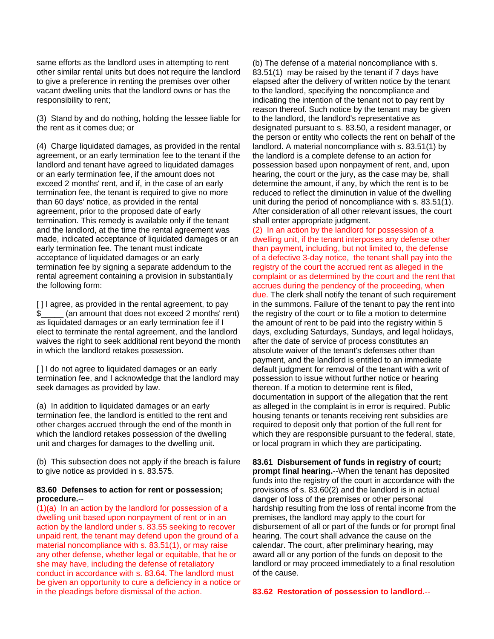same efforts as the landlord uses in attempting to rent other similar rental units but does not require the landlord to give a preference in renting the premises over other vacant dwelling units that the landlord owns or has the responsibility to rent;

(3) Stand by and do nothing, holding the lessee liable for the rent as it comes due; or

(4) Charge liquidated damages, as provided in the rental agreement, or an early termination fee to the tenant if the landlord and tenant have agreed to liquidated damages or an early termination fee, if the amount does not exceed 2 months' rent, and if, in the case of an early termination fee, the tenant is required to give no more than 60 days' notice, as provided in the rental agreement, prior to the proposed date of early termination. This remedy is available only if the tenant and the landlord, at the time the rental agreement was made, indicated acceptance of liquidated damages or an early termination fee. The tenant must indicate acceptance of liquidated damages or an early termination fee by signing a separate addendum to the rental agreement containing a provision in substantially the following form:

[] I agree, as provided in the rental agreement, to pay \$\_\_\_\_\_ (an amount that does not exceed 2 months' rent) as liquidated damages or an early termination fee if I elect to terminate the rental agreement, and the landlord waives the right to seek additional rent beyond the month in which the landlord retakes possession.

[1] do not agree to liquidated damages or an early termination fee, and I acknowledge that the landlord may seek damages as provided by law.

(a) In addition to liquidated damages or an early termination fee, the landlord is entitled to the rent and other charges accrued through the end of the month in which the landlord retakes possession of the dwelling unit and charges for damages to the dwelling unit.

<span id="page-9-1"></span>(b) This subsection does not apply if the breach is failure to give notice as provided in s. 83.575.

#### <span id="page-9-0"></span>**83.60 Defenses to action for rent or possession; procedure.**--

<span id="page-9-2"></span>(1)(a) In an action by the landlord for possession of a dwelling unit based upon nonpayment of rent or in an action by the landlord under s. 83.55 seeking to recover unpaid rent, the tenant may defend upon the ground of a material noncompliance with s. 83.51(1), or may raise any other defense, whether legal or equitable, that he or she may have, including the defense of retaliatory conduct in accordance with s. 83.64. The landlord must be given an opportunity to cure a deficiency in a notice or in the pleadings before dismissal of the action.

(b) The defense of a material noncompliance with s. 83.51(1) may be raised by the tenant if 7 days have elapsed after the delivery of written notice by the tenant to the landlord, specifying the noncompliance and indicating the intention of the tenant not to pay rent by reason thereof. Such notice by the tenant may be given to the landlord, the landlord's representative as designated pursuant to s. 83.50, a resident manager, or the person or entity who collects the rent on behalf of the landlord. A material noncompliance with s. 83.51(1) by the landlord is a complete defense to an action for possession based upon nonpayment of rent, and, upon hearing, the court or the jury, as the case may be, shall determine the amount, if any, by which the rent is to be reduced to reflect the diminution in value of the dwelling unit during the period of noncompliance with s. 83.51(1). After consideration of all other relevant issues, the court shall enter appropriate judgment.

(2) In an action by the landlord for possession of a dwelling unit, if the tenant interposes any defense other than payment, including, but not limited to, the defense of a defective 3-day notice, the tenant shall pay into the registry of the court the accrued rent as alleged in the complaint or as determined by the court and the rent that accrues during the pendency of the proceeding, when due. The clerk shall notify the tenant of such requirement in the summons. Failure of the tenant to pay the rent into the registry of the court or to file a motion to determine the amount of rent to be paid into the registry within 5 days, excluding Saturdays, Sundays, and legal holidays, after the date of service of process constitutes an absolute waiver of the tenant's defenses other than payment, and the landlord is entitled to an immediate default judgment for removal of the tenant with a writ of possession to issue without further notice or hearing thereon. If a motion to determine rent is filed, documentation in support of the allegation that the rent as alleged in the complaint is in error is required. Public housing tenants or tenants receiving rent subsidies are required to deposit only that portion of the full rent for which they are responsible pursuant to the federal, state, or local program in which they are participating.

#### **83.61 Disbursement of funds in registry of court;**

**prompt final hearing.**--When the tenant has deposited funds into the registry of the court in accordance with the provisions of s. 83.60(2) and the landlord is in actual danger of loss of the premises or other personal hardship resulting from the loss of rental income from the premises, the landlord may apply to the court for disbursement of all or part of the funds or for prompt final hearing. The court shall advance the cause on the calendar. The court, after preliminary hearing, may award all or any portion of the funds on deposit to the landlord or may proceed immediately to a final resolution of the cause.

**83.62 Restoration of possession to landlord.**--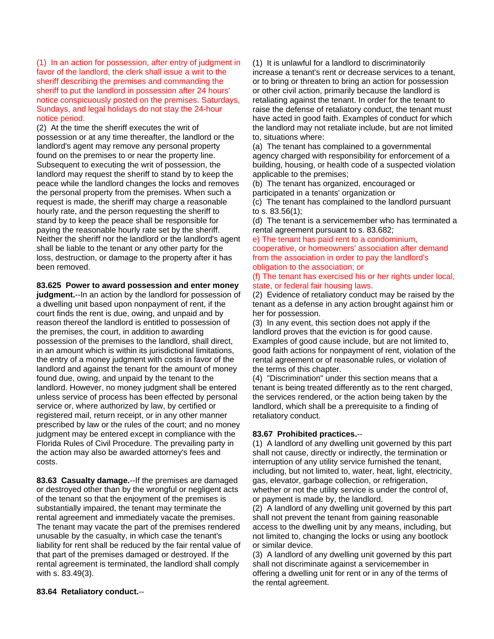(1) In an action for possession, after entry of judgment in favor of the landlord, the clerk shall issue a writ to the sheriff describing the premises and commanding the sheriff to put the landlord in possession after 24 hours' notice conspicuously posted on the premises. Saturdays, Sundays, and legal holidays do not stay the 24-hour notice period.

(2) At the time the sheriff executes the writ of possession or at any time thereafter, the landlord or the landlord's agent may remove any personal property found on the premises to or near the property line. Subsequent to executing the writ of possession, the landlord may request the sheriff to stand by to keep the peace while the landlord changes the locks and removes the personal property from the premises. When such a request is made, the sheriff may charge a reasonable hourly rate, and the person requesting the sheriff to stand by to keep the peace shall be responsible for paying the reasonable hourly rate set by the sheriff. Neither the sheriff nor the landlord or the landlord's agent shall be liable to the tenant or any other party for the loss, destruction, or damage to the property after it has been removed.

<span id="page-10-0"></span>**83.625 Power to award possession and enter money** 

**judgment.**--In an action by the landlord for possession of a dwelling unit based upon nonpayment of rent, if the court finds the rent is due, owing, and unpaid and by reason thereof the landlord is entitled to possession of the premises, the court, in addition to awarding possession of the premises to the landlord, shall direct, in an amount which is within its jurisdictional limitations, the entry of a money judgment with costs in favor of the landlord and against the tenant for the amount of money found due, owing, and unpaid by the tenant to the landlord. However, no money judgment shall be entered unless service of process has been effected by personal service or, where authorized by law, by certified or registered mail, return receipt, or in any other manner prescribed by law or the rules of the court; and no money judgment may be entered except in compliance with the Florida Rules of Civil Procedure. The prevailing party in the action may also be awarded attorney's fees and costs.

<span id="page-10-3"></span><span id="page-10-1"></span>**83.63 Casualty damage.**--If the premises are damaged or destroyed other than by the wrongful or negligent acts of the tenant so that the enjoyment of the premises is substantially impaired, the tenant may terminate the rental agreement and immediately vacate the premises. The tenant may vacate the part of the premises rendered unusable by the casualty, in which case the tenant's liability for rent shall be reduced by the fair rental value of that part of the premises damaged or destroyed. If the rental agreement is terminated, the landlord shall comply with s. 83.49(3).

(1) It is unlawful for a landlord to discriminatorily increase a tenant's rent or decrease services to a tenant, or to bring or threaten to bring an action for possession or other civil action, primarily because the landlord is retaliating against the tenant. In order for the tenant to raise the defense of retaliatory conduct, the tenant must have acted in good faith. Examples of conduct for which the landlord may not retaliate include, but are not limited to, situations where:

(a) The tenant has complained to a governmental agency charged with responsibility for enforcement of a building, housing, or health code of a suspected violation applicable to the premises;

(b) The tenant has organized, encouraged or participated in a tenants' organization or

(c) The tenant has complained to the landlord pursuant to s. 83.56(1);

(d) The tenant is a servicemember who has terminated a rental agreement pursuant to s. 83.682;

e) The tenant has paid rent to a condominium, cooperative, or homeowners' association after demand from the association in order to pay the landlord's obligation to the association; or

(f) The tenant has exercised his or her rights under local, state, or federal fair housing laws.

(2) Evidence of retaliatory conduct may be raised by the tenant as a defense in any action brought against him or her for possession.

(3) In any event, this section does not apply if the landlord proves that the eviction is for good cause. Examples of good cause include, but are not limited to, good faith actions for nonpayment of rent, violation of the rental agreement or of reasonable rules, or violation of the terms of this chapter.

(4) "Discrimination" under this section means that a tenant is being treated differently as to the rent charged, the services rendered, or the action being taken by the landlord, which shall be a prerequisite to a finding of retaliatory conduct.

#### **83.67 Prohibited practices.**--

(1) A landlord of any dwelling unit governed by this part shall not cause, directly or indirectly, the termination or interruption of any utility service furnished the tenant, including, but not limited to, water, heat, light, electricity, gas, elevator, garbage collection, or refrigeration, whether or not the utility service is under the control of, or payment is made by, the landlord.

(2) A landlord of any dwelling unit governed by this part shall not prevent the tenant from gaining reasonable access to the dwelling unit by any means, including, but not limited to, changing the locks or using any bootlock or similar device.

(3) A landlord of any dwelling unit governed by this part shall not discriminate against a servicemember in offering a dwelling unit for rent or in any of the terms of the rental agreement.

#### <span id="page-10-2"></span>**83.64 Retaliatory conduct.**--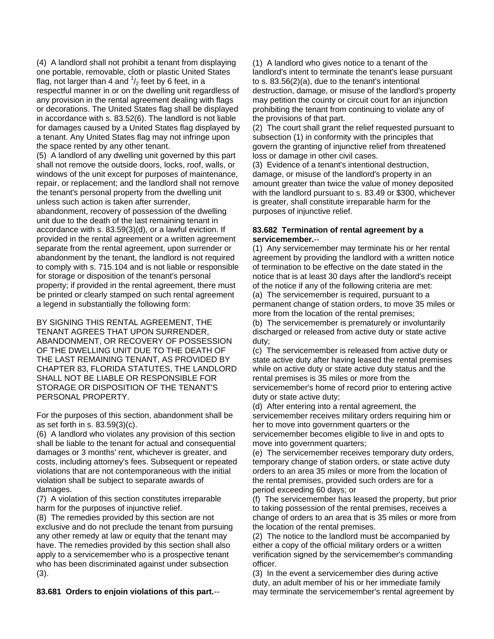(4) A landlord shall not prohibit a tenant from displaying one portable, removable, cloth or plastic United States flag, not larger than 4 and  $\frac{1}{2}$  feet by 6 feet, in a respectful manner in or on the dwelling unit regardless of any provision in the rental agreement dealing with flags or decorations. The United States flag shall be displayed in accordance with s. 83.52(6). The landlord is not liable for damages caused by a United States flag displayed by a tenant. Any United States flag may not infringe upon the space rented by any other tenant.

<span id="page-11-1"></span>(5) A landlord of any dwelling unit governed by this part shall not remove the outside doors, locks, roof, walls, or windows of the unit except for purposes of maintenance, repair, or replacement; and the landlord shall not remove the tenant's personal property from the dwelling unit unless such action is taken after surrender, abandonment, recovery of possession of the dwelling unit due to the death of the last remaining tenant in accordance with s. 83.59(3)(d), or a lawful eviction. If provided in the rental agreement or a written agreement separate from the rental agreement, upon surrender or abandonment by the tenant, the landlord is not required to comply with s. 715.104 and is not liable or responsible for storage or disposition of the tenant's personal property; if provided in the rental agreement, there must be printed or clearly stamped on such rental agreement a legend in substantially the following form:

BY SIGNING THIS RENTAL AGREEMENT, THE TENANT AGREES THAT UPON SURRENDER, ABANDONMENT, OR RECOVERY OF POSSESSION OF THE DWELLING UNIT DUE TO THE DEATH OF THE LAST REMAINING TENANT, AS PROVIDED BY CHAPTER 83, FLORIDA STATUTES, THE LANDLORD SHALL NOT BE LIABLE OR RESPONSIBLE FOR STORAGE OR DISPOSITION OF THE TENANT'S PERSONAL PROPERTY.

For the purposes of this section, abandonment shall be as set forth in s. 83.59(3)(c).

(6) A landlord who violates any provision of this section shall be liable to the tenant for actual and consequential damages or 3 months' rent, whichever is greater, and costs, including attorney's fees. Subsequent or repeated violations that are not contemporaneous with the initial violation shall be subject to separate awards of damages.

(7) A violation of this section constitutes irreparable harm for the purposes of injunctive relief.

(8) The remedies provided by this section are not exclusive and do not preclude the tenant from pursuing any other remedy at law or equity that the tenant may have. The remedies provided by this section shall also apply to a servicemember who is a prospective tenant who has been discriminated against under subsection (3).

<span id="page-11-0"></span>**83.681 Orders to enjoin violations of this part.**--

(1) A landlord who gives notice to a tenant of the landlord's intent to terminate the tenant's lease pursuant to s. 83.56(2)(a), due to the tenant's intentional destruction, damage, or misuse of the landlord's property may petition the county or circuit court for an injunction prohibiting the tenant from continuing to violate any of the provisions of that part.

(2) The court shall grant the relief requested pursuant to subsection (1) in conformity with the principles that govern the granting of injunctive relief from threatened loss or damage in other civil cases.

(3) Evidence of a tenant's intentional destruction, damage, or misuse of the landlord's property in an amount greater than twice the value of money deposited with the landlord pursuant to s. 83.49 or \$300, whichever is greater, shall constitute irreparable harm for the purposes of injunctive relief.

#### **83.682 Termination of rental agreement by a servicemember.**--

(1) Any servicemember may terminate his or her rental agreement by providing the landlord with a written notice of termination to be effective on the date stated in the notice that is at least 30 days after the landlord's receipt of the notice if any of the following criteria are met: (a) The servicemember is required, pursuant to a permanent change of station orders, to move 35 miles or more from the location of the rental premises;

(b) The servicemember is prematurely or involuntarily discharged or released from active duty or state active duty;

(c) The servicemember is released from active duty or state active duty after having leased the rental premises while on active duty or state active duty status and the rental premises is 35 miles or more from the servicemember's home of record prior to entering active duty or state active duty;

(d) After entering into a rental agreement, the servicemember receives military orders requiring him or her to move into government quarters or the servicemember becomes eligible to live in and opts to move into government quarters;

(e) The servicemember receives temporary duty orders, temporary change of station orders, or state active duty orders to an area 35 miles or more from the location of the rental premises, provided such orders are for a period exceeding 60 days; or

(f) The servicemember has leased the property, but prior to taking possession of the rental premises, receives a change of orders to an area that is 35 miles or more from the location of the rental premises.

(2) The notice to the landlord must be accompanied by either a copy of the official military orders or a written verification signed by the servicemember's commanding officer.

(3) In the event a servicemember dies during active duty, an adult member of his or her immediate family may terminate the servicemember's rental agreement by